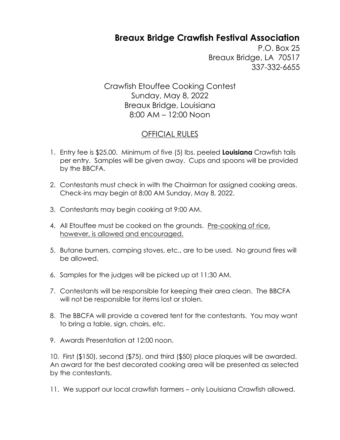## **Breaux Bridge Crawfish Festival Association**

P.O. Box 25 Breaux Bridge, LA 70517 337-332-6655

Crawfish Etouffee Cooking Contest Sunday, May 8, 2022 Breaux Bridge, Louisiana 8:00 AM – 12:00 Noon

## OFFICIAL RULES

- 1. Entry fee is \$25.00. Minimum of five (5) lbs. peeled **Louisiana** Crawfish tails per entry. Samples will be given away. Cups and spoons will be provided by the BBCFA.
- 2. Contestants must check in with the Chairman for assigned cooking areas. Check-ins may begin at 8:00 AM Sunday, May 8, 2022.
- 3. Contestants may begin cooking at 9:00 AM.
- 4. All Etouffee must be cooked on the grounds. Pre-cooking of rice, however, is allowed and encouraged.
- 5. Butane burners, camping stoves, etc., are to be used. No ground fires will be allowed.
- 6. Samples for the judges will be picked up at 11:30 AM.
- 7. Contestants will be responsible for keeping their area clean. The BBCFA will not be responsible for items lost or stolen.
- 8. The BBCFA will provide a covered tent for the contestants. You may want to bring a table, sign, chairs, etc.
- 9. Awards Presentation at 12:00 noon.

10. First (\$150), second (\$75), and third (\$50) place plaques will be awarded. An award for the best decorated cooking area will be presented as selected by the contestants.

11. We support our local crawfish farmers – only Louisiana Crawfish allowed.